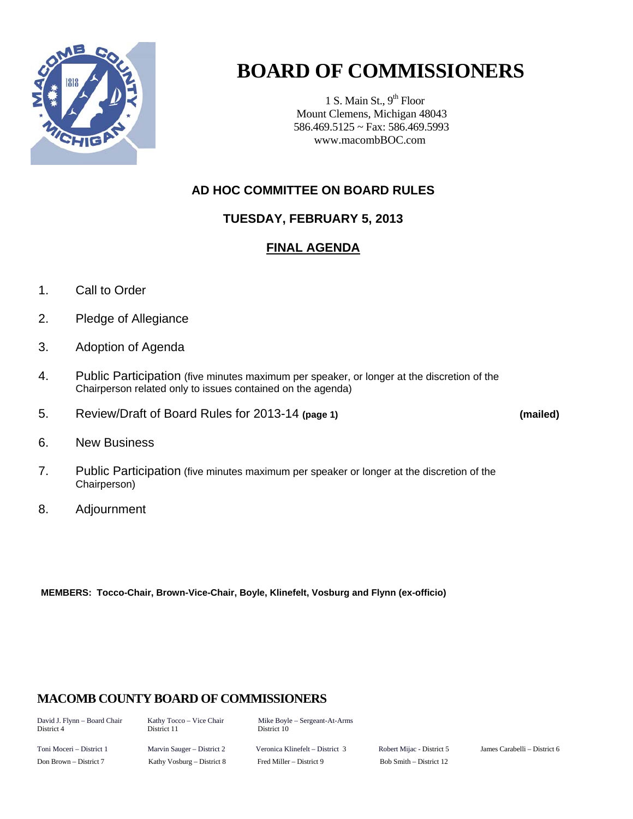

# **BOARD OF COMMISSIONERS**

1 S. Main St.,  $9<sup>th</sup>$  Floor Mount Clemens, Michigan 48043 586.469.5125 ~ Fax: 586.469.5993 www.macombBOC.com

# **AD HOC COMMITTEE ON BOARD RULES**

# **TUESDAY, FEBRUARY 5, 2013**

# **FINAL AGENDA**

- 1. Call to Order
- 2. Pledge of Allegiance
- 3. Adoption of Agenda
- 4. Public Participation (five minutes maximum per speaker, or longer at the discretion of the Chairperson related only to issues contained on the agenda)
- 5. Review/Draft of Board Rules for 2013-14 **(page 1) (mailed)**

- 6. New Business
- 7. Public Participation (five minutes maximum per speaker or longer at the discretion of the Chairperson)
- 8. Adjournment

 **MEMBERS: Tocco-Chair, Brown-Vice-Chair, Boyle, Klinefelt, Vosburg and Flynn (ex-officio)** 

## **MACOMB COUNTY BOARD OF COMMISSIONERS**

David J. Flynn – Board Chair Kathy Tocco – Vice Chair Mike Boyle – Sergeant-At-Arms<br>District 4 District 11 District 10 District 10

Toni Moceri – District 1 Marvin Sauger – District 2 Veronica Klinefelt – District 3 Robert Mijac - District 5 James Carabelli – District 6 Don Brown – District 7 Kathy Vosburg – District 8 Fred Miller – District 9 Bob Smith – District 12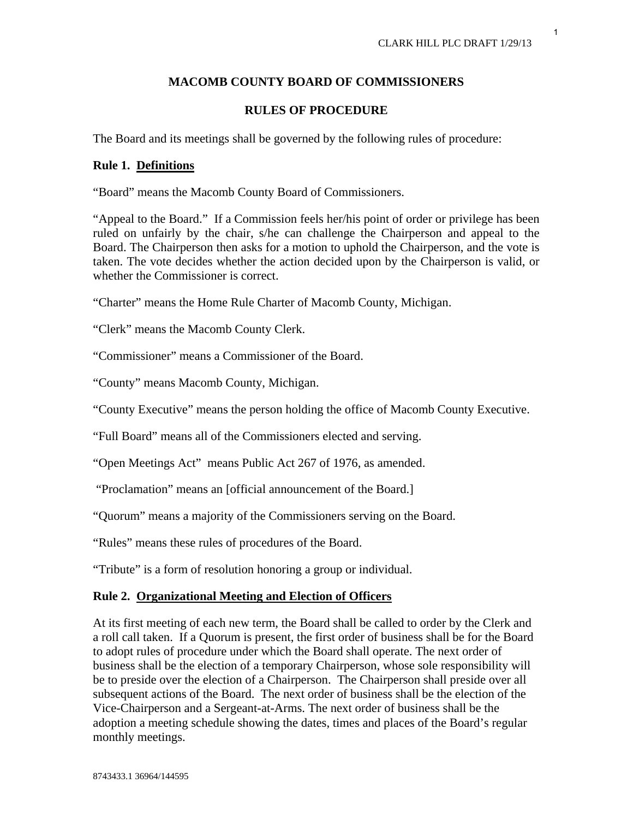## **MACOMB COUNTY BOARD OF COMMISSIONERS**

## **RULES OF PROCEDURE**

The Board and its meetings shall be governed by the following rules of procedure:

## **Rule 1. Definitions**

"Board" means the Macomb County Board of Commissioners.

"Appeal to the Board." If a Commission feels her/his point of order or privilege has been ruled on unfairly by the chair, s/he can challenge the Chairperson and appeal to the Board. The Chairperson then asks for a motion to uphold the Chairperson, and the vote is taken. The vote decides whether the action decided upon by the Chairperson is valid, or whether the Commissioner is correct.

"Charter" means the Home Rule Charter of Macomb County, Michigan.

"Clerk" means the Macomb County Clerk.

"Commissioner" means a Commissioner of the Board.

"County" means Macomb County, Michigan.

"County Executive" means the person holding the office of Macomb County Executive.

"Full Board" means all of the Commissioners elected and serving.

"Open Meetings Act" means Public Act 267 of 1976, as amended.

"Proclamation" means an [official announcement of the Board.]

"Quorum" means a majority of the Commissioners serving on the Board.

"Rules" means these rules of procedures of the Board.

"Tribute" is a form of resolution honoring a group or individual.

## **Rule 2. Organizational Meeting and Election of Officers**

At its first meeting of each new term, the Board shall be called to order by the Clerk and a roll call taken. If a Quorum is present, the first order of business shall be for the Board to adopt rules of procedure under which the Board shall operate. The next order of business shall be the election of a temporary Chairperson, whose sole responsibility will be to preside over the election of a Chairperson. The Chairperson shall preside over all subsequent actions of the Board. The next order of business shall be the election of the Vice-Chairperson and a Sergeant-at-Arms. The next order of business shall be the adoption a meeting schedule showing the dates, times and places of the Board's regular monthly meetings.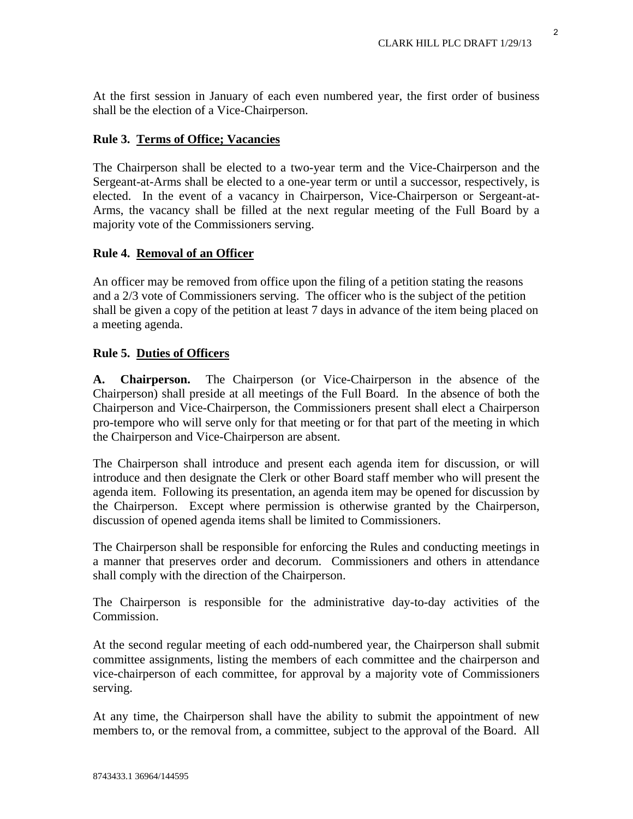At the first session in January of each even numbered year, the first order of business shall be the election of a Vice-Chairperson.

## **Rule 3. Terms of Office; Vacancies**

The Chairperson shall be elected to a two-year term and the Vice-Chairperson and the Sergeant-at-Arms shall be elected to a one-year term or until a successor, respectively, is elected. In the event of a vacancy in Chairperson, Vice-Chairperson or Sergeant-at-Arms, the vacancy shall be filled at the next regular meeting of the Full Board by a majority vote of the Commissioners serving.

## **Rule 4. Removal of an Officer**

An officer may be removed from office upon the filing of a petition stating the reasons and a 2/3 vote of Commissioners serving. The officer who is the subject of the petition shall be given a copy of the petition at least 7 days in advance of the item being placed on a meeting agenda.

## **Rule 5. Duties of Officers**

**A. Chairperson.** The Chairperson (or Vice-Chairperson in the absence of the Chairperson) shall preside at all meetings of the Full Board. In the absence of both the Chairperson and Vice-Chairperson, the Commissioners present shall elect a Chairperson pro-tempore who will serve only for that meeting or for that part of the meeting in which the Chairperson and Vice-Chairperson are absent.

The Chairperson shall introduce and present each agenda item for discussion, or will introduce and then designate the Clerk or other Board staff member who will present the agenda item. Following its presentation, an agenda item may be opened for discussion by the Chairperson. Except where permission is otherwise granted by the Chairperson, discussion of opened agenda items shall be limited to Commissioners.

The Chairperson shall be responsible for enforcing the Rules and conducting meetings in a manner that preserves order and decorum. Commissioners and others in attendance shall comply with the direction of the Chairperson.

The Chairperson is responsible for the administrative day-to-day activities of the Commission.

At the second regular meeting of each odd-numbered year, the Chairperson shall submit committee assignments, listing the members of each committee and the chairperson and vice-chairperson of each committee, for approval by a majority vote of Commissioners serving.

At any time, the Chairperson shall have the ability to submit the appointment of new members to, or the removal from, a committee, subject to the approval of the Board. All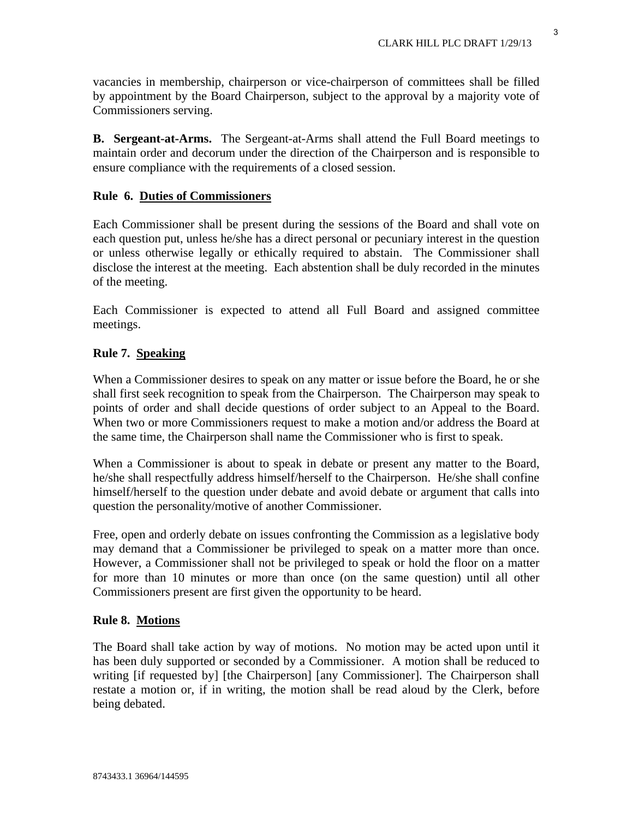vacancies in membership, chairperson or vice-chairperson of committees shall be filled by appointment by the Board Chairperson, subject to the approval by a majority vote of Commissioners serving.

**B. Sergeant-at-Arms.** The Sergeant-at-Arms shall attend the Full Board meetings to maintain order and decorum under the direction of the Chairperson and is responsible to ensure compliance with the requirements of a closed session.

## **Rule 6. Duties of Commissioners**

Each Commissioner shall be present during the sessions of the Board and shall vote on each question put, unless he/she has a direct personal or pecuniary interest in the question or unless otherwise legally or ethically required to abstain. The Commissioner shall disclose the interest at the meeting. Each abstention shall be duly recorded in the minutes of the meeting.

Each Commissioner is expected to attend all Full Board and assigned committee meetings.

## **Rule 7. Speaking**

When a Commissioner desires to speak on any matter or issue before the Board, he or she shall first seek recognition to speak from the Chairperson. The Chairperson may speak to points of order and shall decide questions of order subject to an Appeal to the Board. When two or more Commissioners request to make a motion and/or address the Board at the same time, the Chairperson shall name the Commissioner who is first to speak.

When a Commissioner is about to speak in debate or present any matter to the Board, he/she shall respectfully address himself/herself to the Chairperson. He/she shall confine himself/herself to the question under debate and avoid debate or argument that calls into question the personality/motive of another Commissioner.

Free, open and orderly debate on issues confronting the Commission as a legislative body may demand that a Commissioner be privileged to speak on a matter more than once. However, a Commissioner shall not be privileged to speak or hold the floor on a matter for more than 10 minutes or more than once (on the same question) until all other Commissioners present are first given the opportunity to be heard.

## **Rule 8. Motions**

The Board shall take action by way of motions. No motion may be acted upon until it has been duly supported or seconded by a Commissioner. A motion shall be reduced to writing [if requested by] [the Chairperson] [any Commissioner]. The Chairperson shall restate a motion or, if in writing, the motion shall be read aloud by the Clerk, before being debated.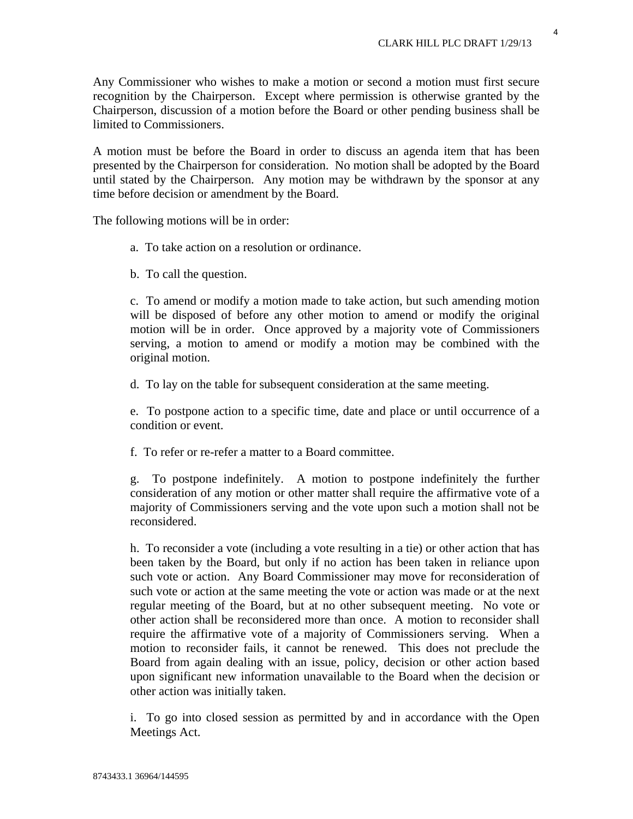Any Commissioner who wishes to make a motion or second a motion must first secure recognition by the Chairperson. Except where permission is otherwise granted by the Chairperson, discussion of a motion before the Board or other pending business shall be limited to Commissioners.

A motion must be before the Board in order to discuss an agenda item that has been presented by the Chairperson for consideration. No motion shall be adopted by the Board until stated by the Chairperson. Any motion may be withdrawn by the sponsor at any time before decision or amendment by the Board.

The following motions will be in order:

- a. To take action on a resolution or ordinance.
- b. To call the question.

c. To amend or modify a motion made to take action, but such amending motion will be disposed of before any other motion to amend or modify the original motion will be in order. Once approved by a majority vote of Commissioners serving, a motion to amend or modify a motion may be combined with the original motion.

d. To lay on the table for subsequent consideration at the same meeting.

e. To postpone action to a specific time, date and place or until occurrence of a condition or event.

f. To refer or re-refer a matter to a Board committee.

g. To postpone indefinitely. A motion to postpone indefinitely the further consideration of any motion or other matter shall require the affirmative vote of a majority of Commissioners serving and the vote upon such a motion shall not be reconsidered.

h. To reconsider a vote (including a vote resulting in a tie) or other action that has been taken by the Board, but only if no action has been taken in reliance upon such vote or action. Any Board Commissioner may move for reconsideration of such vote or action at the same meeting the vote or action was made or at the next regular meeting of the Board, but at no other subsequent meeting. No vote or other action shall be reconsidered more than once. A motion to reconsider shall require the affirmative vote of a majority of Commissioners serving. When a motion to reconsider fails, it cannot be renewed. This does not preclude the Board from again dealing with an issue, policy, decision or other action based upon significant new information unavailable to the Board when the decision or other action was initially taken.

i. To go into closed session as permitted by and in accordance with the Open Meetings Act.

4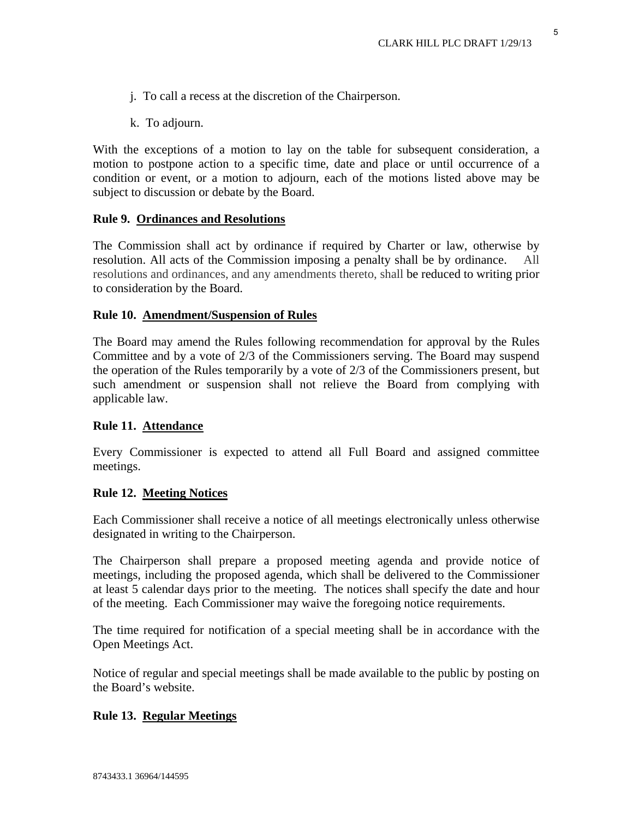- j. To call a recess at the discretion of the Chairperson.
- k. To adjourn.

With the exceptions of a motion to lay on the table for subsequent consideration, a motion to postpone action to a specific time, date and place or until occurrence of a condition or event, or a motion to adjourn, each of the motions listed above may be subject to discussion or debate by the Board.

#### **Rule 9. Ordinances and Resolutions**

The Commission shall act by ordinance if required by Charter or law, otherwise by resolution. All acts of the Commission imposing a penalty shall be by ordinance. resolutions and ordinances, and any amendments thereto, shall be reduced to writing prior to consideration by the Board.

#### **Rule 10. Amendment/Suspension of Rules**

The Board may amend the Rules following recommendation for approval by the Rules Committee and by a vote of 2/3 of the Commissioners serving. The Board may suspend the operation of the Rules temporarily by a vote of 2/3 of the Commissioners present, but such amendment or suspension shall not relieve the Board from complying with applicable law.

#### **Rule 11. Attendance**

Every Commissioner is expected to attend all Full Board and assigned committee meetings.

#### **Rule 12. Meeting Notices**

Each Commissioner shall receive a notice of all meetings electronically unless otherwise designated in writing to the Chairperson.

The Chairperson shall prepare a proposed meeting agenda and provide notice of meetings, including the proposed agenda, which shall be delivered to the Commissioner at least 5 calendar days prior to the meeting. The notices shall specify the date and hour of the meeting. Each Commissioner may waive the foregoing notice requirements.

The time required for notification of a special meeting shall be in accordance with the Open Meetings Act.

Notice of regular and special meetings shall be made available to the public by posting on the Board's website.

#### **Rule 13. Regular Meetings**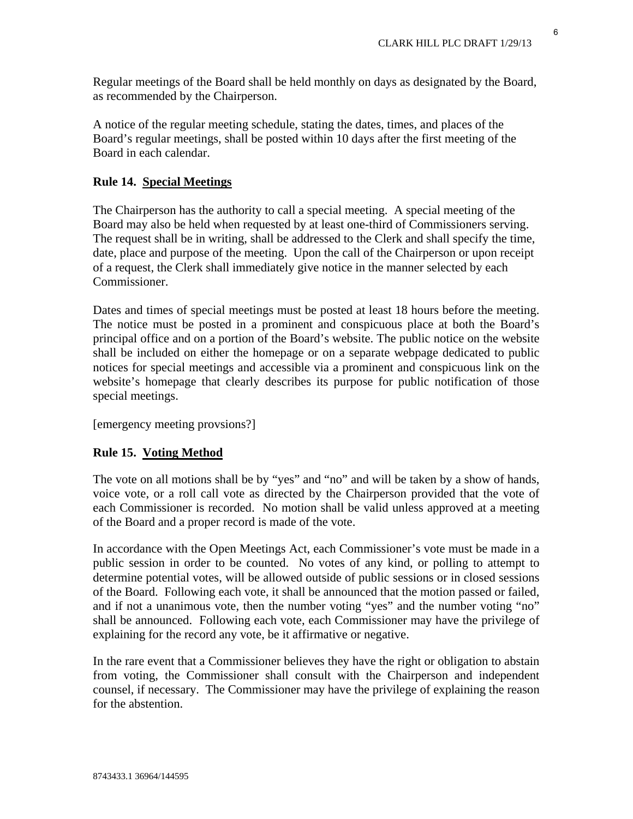Regular meetings of the Board shall be held monthly on days as designated by the Board, as recommended by the Chairperson.

A notice of the regular meeting schedule, stating the dates, times, and places of the Board's regular meetings, shall be posted within 10 days after the first meeting of the Board in each calendar.

## **Rule 14. Special Meetings**

The Chairperson has the authority to call a special meeting. A special meeting of the Board may also be held when requested by at least one-third of Commissioners serving. The request shall be in writing, shall be addressed to the Clerk and shall specify the time, date, place and purpose of the meeting. Upon the call of the Chairperson or upon receipt of a request, the Clerk shall immediately give notice in the manner selected by each Commissioner.

Dates and times of special meetings must be posted at least 18 hours before the meeting. The notice must be posted in a prominent and conspicuous place at both the Board's principal office and on a portion of the Board's website. The public notice on the website shall be included on either the homepage or on a separate webpage dedicated to public notices for special meetings and accessible via a prominent and conspicuous link on the website's homepage that clearly describes its purpose for public notification of those special meetings.

[emergency meeting provsions?]

## **Rule 15. Voting Method**

The vote on all motions shall be by "yes" and "no" and will be taken by a show of hands, voice vote, or a roll call vote as directed by the Chairperson provided that the vote of each Commissioner is recorded. No motion shall be valid unless approved at a meeting of the Board and a proper record is made of the vote.

In accordance with the Open Meetings Act, each Commissioner's vote must be made in a public session in order to be counted. No votes of any kind, or polling to attempt to determine potential votes, will be allowed outside of public sessions or in closed sessions of the Board. Following each vote, it shall be announced that the motion passed or failed, and if not a unanimous vote, then the number voting "yes" and the number voting "no" shall be announced. Following each vote, each Commissioner may have the privilege of explaining for the record any vote, be it affirmative or negative.

In the rare event that a Commissioner believes they have the right or obligation to abstain from voting, the Commissioner shall consult with the Chairperson and independent counsel, if necessary. The Commissioner may have the privilege of explaining the reason for the abstention.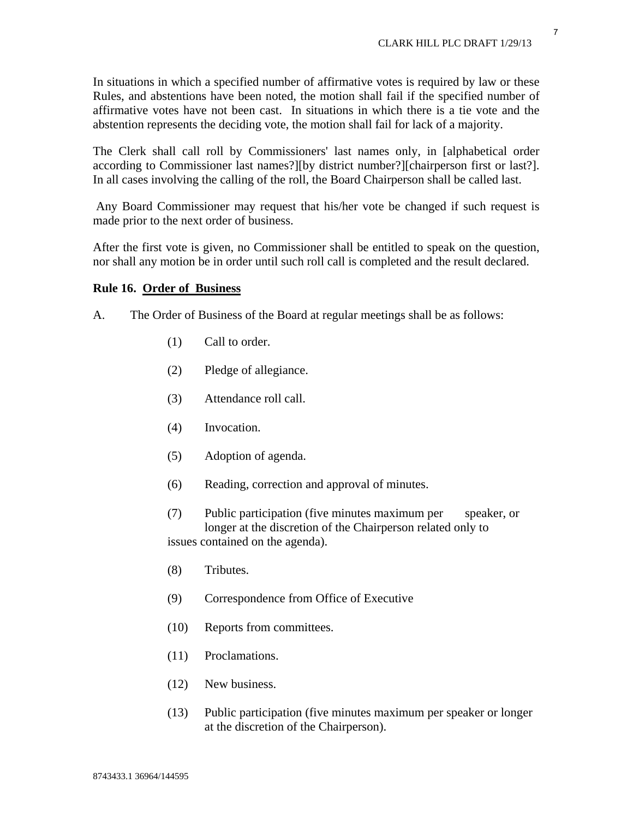In situations in which a specified number of affirmative votes is required by law or these Rules, and abstentions have been noted, the motion shall fail if the specified number of affirmative votes have not been cast. In situations in which there is a tie vote and the abstention represents the deciding vote, the motion shall fail for lack of a majority.

The Clerk shall call roll by Commissioners' last names only, in [alphabetical order according to Commissioner last names?][by district number?][chairperson first or last?]. In all cases involving the calling of the roll, the Board Chairperson shall be called last.

 Any Board Commissioner may request that his/her vote be changed if such request is made prior to the next order of business.

After the first vote is given, no Commissioner shall be entitled to speak on the question, nor shall any motion be in order until such roll call is completed and the result declared.

#### **Rule 16. Order of Business**

- A. The Order of Business of the Board at regular meetings shall be as follows:
	- (1) Call to order.
	- (2) Pledge of allegiance.
	- (3) Attendance roll call.
	- (4) Invocation.
	- (5) Adoption of agenda.
	- (6) Reading, correction and approval of minutes.
	- (7) Public participation (five minutes maximum per speaker, or longer at the discretion of the Chairperson related only to issues contained on the agenda).
	- (8) Tributes.
	- (9) Correspondence from Office of Executive
	- (10) Reports from committees.
	- (11) Proclamations.
	- (12) New business.
	- (13) Public participation (five minutes maximum per speaker or longer at the discretion of the Chairperson).

7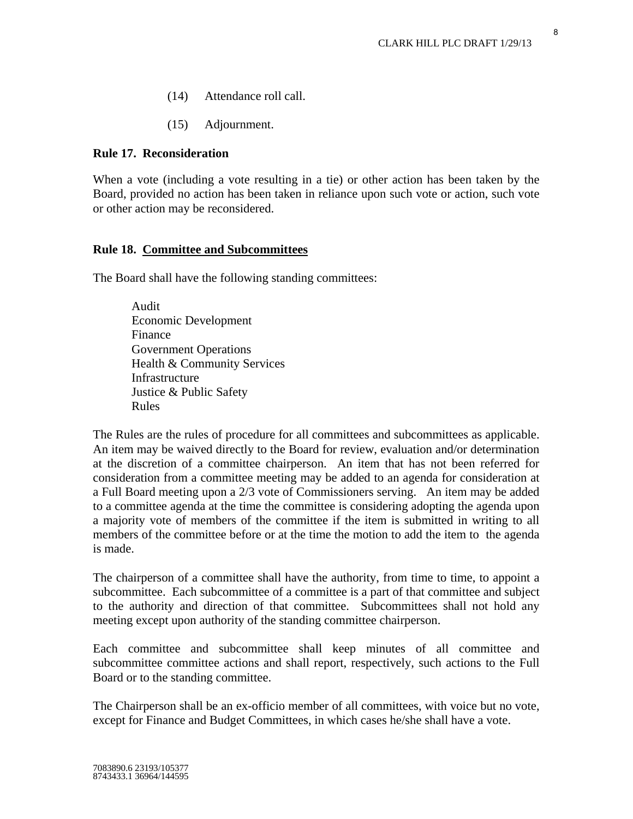- (14) Attendance roll call.
- (15) Adjournment.

## **Rule 17. Reconsideration**

When a vote (including a vote resulting in a tie) or other action has been taken by the Board, provided no action has been taken in reliance upon such vote or action, such vote or other action may be reconsidered.

## **Rule 18. Committee and Subcommittees**

The Board shall have the following standing committees:

 Audit Economic Development Finance Government Operations Health & Community Services Infrastructure Justice & Public Safety Rules

The Rules are the rules of procedure for all committees and subcommittees as applicable. An item may be waived directly to the Board for review, evaluation and/or determination at the discretion of a committee chairperson. An item that has not been referred for consideration from a committee meeting may be added to an agenda for consideration at a Full Board meeting upon a 2/3 vote of Commissioners serving. An item may be added to a committee agenda at the time the committee is considering adopting the agenda upon a majority vote of members of the committee if the item is submitted in writing to all members of the committee before or at the time the motion to add the item to the agenda is made.

The chairperson of a committee shall have the authority, from time to time, to appoint a subcommittee. Each subcommittee of a committee is a part of that committee and subject to the authority and direction of that committee. Subcommittees shall not hold any meeting except upon authority of the standing committee chairperson.

Each committee and subcommittee shall keep minutes of all committee and subcommittee committee actions and shall report, respectively, such actions to the Full Board or to the standing committee.

The Chairperson shall be an ex-officio member of all committees, with voice but no vote, except for Finance and Budget Committees, in which cases he/she shall have a vote.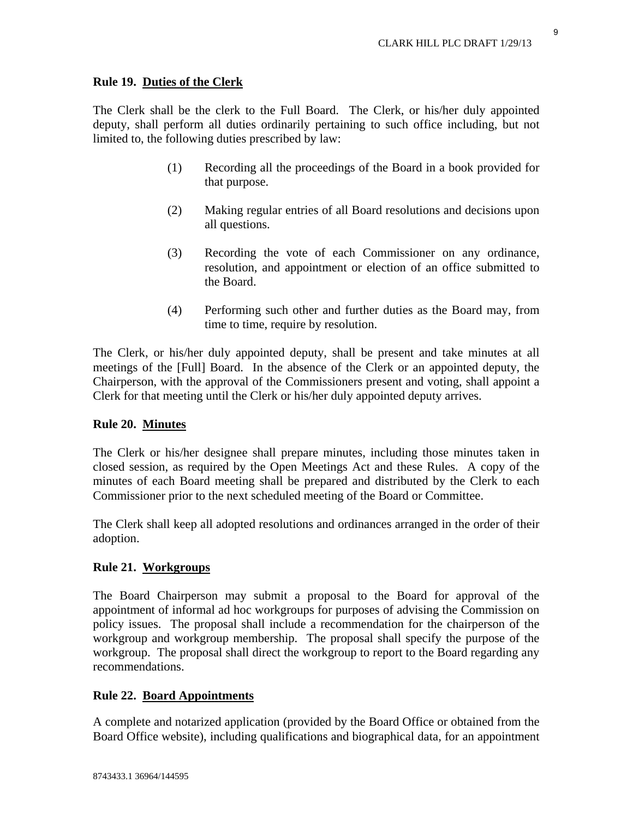## **Rule 19. Duties of the Clerk**

The Clerk shall be the clerk to the Full Board. The Clerk, or his/her duly appointed deputy, shall perform all duties ordinarily pertaining to such office including, but not limited to, the following duties prescribed by law:

- (1) Recording all the proceedings of the Board in a book provided for that purpose.
- (2) Making regular entries of all Board resolutions and decisions upon all questions.
- (3) Recording the vote of each Commissioner on any ordinance, resolution, and appointment or election of an office submitted to the Board.
- (4) Performing such other and further duties as the Board may, from time to time, require by resolution.

The Clerk, or his/her duly appointed deputy, shall be present and take minutes at all meetings of the [Full] Board. In the absence of the Clerk or an appointed deputy, the Chairperson, with the approval of the Commissioners present and voting, shall appoint a Clerk for that meeting until the Clerk or his/her duly appointed deputy arrives.

## **Rule 20. Minutes**

The Clerk or his/her designee shall prepare minutes, including those minutes taken in closed session, as required by the Open Meetings Act and these Rules. A copy of the minutes of each Board meeting shall be prepared and distributed by the Clerk to each Commissioner prior to the next scheduled meeting of the Board or Committee.

The Clerk shall keep all adopted resolutions and ordinances arranged in the order of their adoption.

## **Rule 21. Workgroups**

 The Board Chairperson may submit a proposal to the Board for approval of the appointment of informal ad hoc workgroups for purposes of advising the Commission on policy issues. The proposal shall include a recommendation for the chairperson of the workgroup and workgroup membership. The proposal shall specify the purpose of the workgroup. The proposal shall direct the workgroup to report to the Board regarding any recommendations.

## **Rule 22. Board Appointments**

A complete and notarized application (provided by the Board Office or obtained from the Board Office website), including qualifications and biographical data, for an appointment